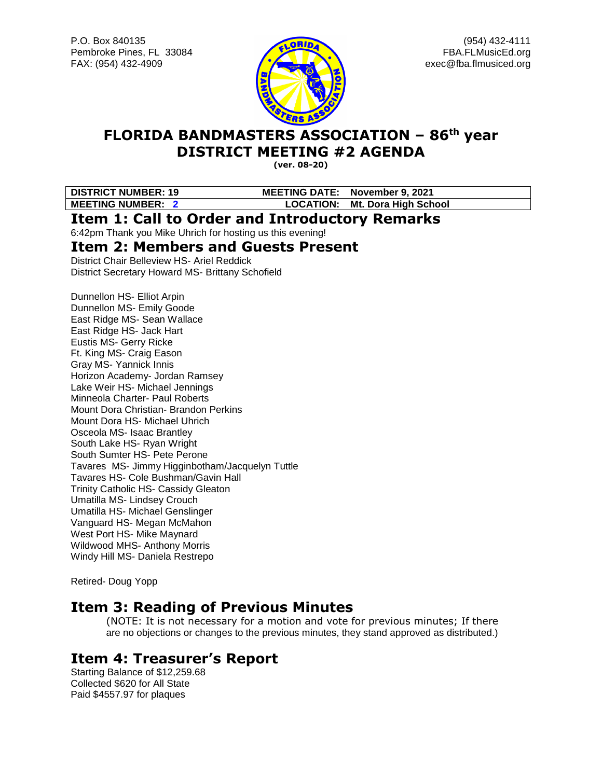

# **FLORIDA BANDMASTERS ASSOCIATION – 86 th year DISTRICT MEETING #2 AGENDA**

**(ver. 08-20)**

**DISTRICT NUMBER: 19 MEETING DATE: November 9, 2021 MEETING NUMBER: 2 LOCATION: Mt. Dora High School**

### **Item 1: Call to Order and Introductory Remarks**

6:42pm Thank you Mike Uhrich for hosting us this evening!

### **Item 2: Members and Guests Present**

District Chair Belleview HS- Ariel Reddick District Secretary Howard MS- Brittany Schofield

Dunnellon HS- Elliot Arpin Dunnellon MS- Emily Goode East Ridge MS- Sean Wallace East Ridge HS- Jack Hart Eustis MS- Gerry Ricke Ft. King MS- Craig Eason Gray MS- Yannick Innis Horizon Academy- Jordan Ramsey Lake Weir HS- Michael Jennings Minneola Charter- Paul Roberts Mount Dora Christian- Brandon Perkins Mount Dora HS- Michael Uhrich Osceola MS- Isaac Brantley South Lake HS- Ryan Wright South Sumter HS- Pete Perone Tavares MS- Jimmy Higginbotham/Jacquelyn Tuttle Tavares HS- Cole Bushman/Gavin Hall Trinity Catholic HS- Cassidy Gleaton Umatilla MS- Lindsey Crouch Umatilla HS- Michael Genslinger Vanguard HS- Megan McMahon West Port HS- Mike Maynard Wildwood MHS- Anthony Morris Windy Hill MS- Daniela Restrepo

Retired- Doug Yopp

## **Item 3: Reading of Previous Minutes**

(NOTE: It is not necessary for a motion and vote for previous minutes; If there are no objections or changes to the previous minutes, they stand approved as distributed.)

# **Item 4: Treasurer's Report**

Starting Balance of \$12,259.68 Collected \$620 for All State Paid \$4557.97 for plaques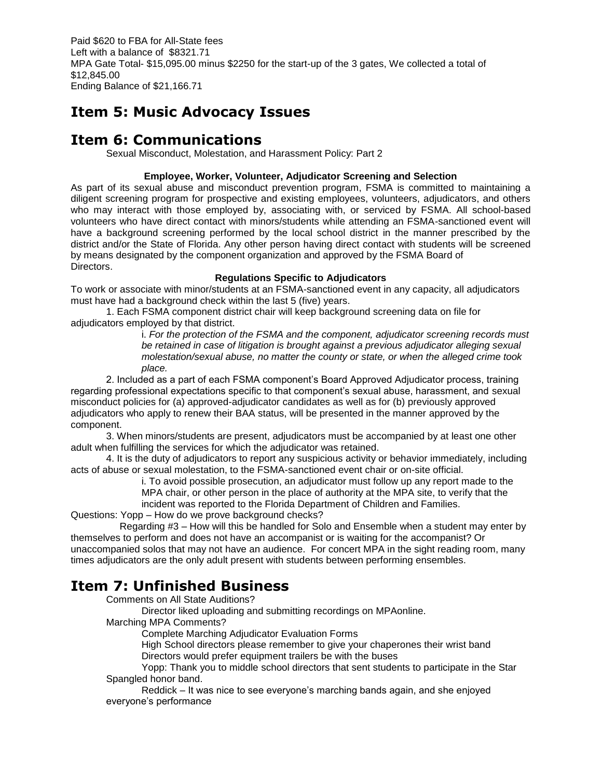Paid \$620 to FBA for All-State fees Left with a balance of \$8321.71 MPA Gate Total- \$15,095.00 minus \$2250 for the start-up of the 3 gates, We collected a total of \$12,845.00 Ending Balance of \$21,166.71

# **Item 5: Music Advocacy Issues**

## **Item 6: Communications**

Sexual Misconduct, Molestation, and Harassment Policy: Part 2

#### **Employee, Worker, Volunteer, Adjudicator Screening and Selection**

As part of its sexual abuse and misconduct prevention program, FSMA is committed to maintaining a diligent screening program for prospective and existing employees, volunteers, adjudicators, and others who may interact with those employed by, associating with, or serviced by FSMA. All school-based volunteers who have direct contact with minors/students while attending an FSMA-sanctioned event will have a background screening performed by the local school district in the manner prescribed by the district and/or the State of Florida. Any other person having direct contact with students will be screened by means designated by the component organization and approved by the FSMA Board of Directors.

#### **Regulations Specific to Adjudicators**

To work or associate with minor/students at an FSMA-sanctioned event in any capacity, all adjudicators must have had a background check within the last 5 (five) years.

1. Each FSMA component district chair will keep background screening data on file for adjudicators employed by that district.

i. *For the protection of the FSMA and the component, adjudicator screening records must be retained in case of litigation is brought against a previous adjudicator alleging sexual molestation/sexual abuse, no matter the county or state, or when the alleged crime took place.*

2. Included as a part of each FSMA component's Board Approved Adjudicator process, training regarding professional expectations specific to that component's sexual abuse, harassment, and sexual misconduct policies for (a) approved-adjudicator candidates as well as for (b) previously approved adjudicators who apply to renew their BAA status, will be presented in the manner approved by the component.

3. When minors/students are present, adjudicators must be accompanied by at least one other adult when fulfilling the services for which the adjudicator was retained.

4. It is the duty of adjudicators to report any suspicious activity or behavior immediately, including acts of abuse or sexual molestation, to the FSMA-sanctioned event chair or on-site official.

i. To avoid possible prosecution, an adjudicator must follow up any report made to the MPA chair, or other person in the place of authority at the MPA site, to verify that the

incident was reported to the Florida Department of Children and Families.

Questions: Yopp – How do we prove background checks?

 Regarding #3 – How will this be handled for Solo and Ensemble when a student may enter by themselves to perform and does not have an accompanist or is waiting for the accompanist? Or unaccompanied solos that may not have an audience. For concert MPA in the sight reading room, many times adjudicators are the only adult present with students between performing ensembles.

## **Item 7: Unfinished Business**

Comments on All State Auditions?

Director liked uploading and submitting recordings on MPAonline.

Marching MPA Comments?

Complete Marching Adjudicator Evaluation Forms

High School directors please remember to give your chaperones their wrist band Directors would prefer equipment trailers be with the buses

Yopp: Thank you to middle school directors that sent students to participate in the Star Spangled honor band.

Reddick – It was nice to see everyone's marching bands again, and she enjoyed everyone's performance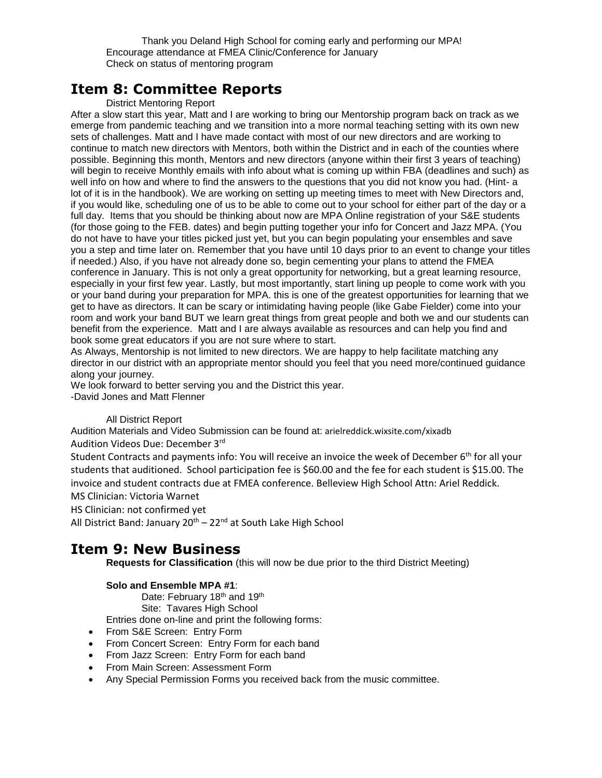Thank you Deland High School for coming early and performing our MPA! Encourage attendance at FMEA Clinic/Conference for January Check on status of mentoring program

## **Item 8: Committee Reports**

#### District Mentoring Report

After a slow start this year, Matt and I are working to bring our Mentorship program back on track as we emerge from pandemic teaching and we transition into a more normal teaching setting with its own new sets of challenges. Matt and I have made contact with most of our new directors and are working to continue to match new directors with Mentors, both within the District and in each of the counties where possible. Beginning this month, Mentors and new directors (anyone within their first 3 years of teaching) will begin to receive Monthly emails with info about what is coming up within FBA (deadlines and such) as well info on how and where to find the answers to the questions that you did not know you had. (Hint- a lot of it is in the handbook). We are working on setting up meeting times to meet with New Directors and, if you would like, scheduling one of us to be able to come out to your school for either part of the day or a full day. Items that you should be thinking about now are MPA Online registration of your S&E students (for those going to the FEB. dates) and begin putting together your info for Concert and Jazz MPA. (You do not have to have your titles picked just yet, but you can begin populating your ensembles and save you a step and time later on. Remember that you have until 10 days prior to an event to change your titles if needed.) Also, if you have not already done so, begin cementing your plans to attend the FMEA conference in January. This is not only a great opportunity for networking, but a great learning resource, especially in your first few year. Lastly, but most importantly, start lining up people to come work with you or your band during your preparation for MPA. this is one of the greatest opportunities for learning that we get to have as directors. It can be scary or intimidating having people (like Gabe Fielder) come into your room and work your band BUT we learn great things from great people and both we and our students can benefit from the experience. Matt and I are always available as resources and can help you find and book some great educators if you are not sure where to start.

As Always, Mentorship is not limited to new directors. We are happy to help facilitate matching any director in our district with an appropriate mentor should you feel that you need more/continued guidance along your journey.

We look forward to better serving you and the District this year.

-David Jones and Matt Flenner

#### All District Report

Audition Materials and Video Submission can be found at: arielreddick.wixsite.com/xixadb Audition Videos Due: December 3rd

Student Contracts and payments info: You will receive an invoice the week of December 6<sup>th</sup> for all your students that auditioned. School participation fee is \$60.00 and the fee for each student is \$15.00. The invoice and student contracts due at FMEA conference. Belleview High School Attn: Ariel Reddick. MS Clinician: Victoria Warnet

HS Clinician: not confirmed yet

All District Band: January  $20^{th} - 22^{nd}$  at South Lake High School

### **Item 9: New Business**

**Requests for Classification** (this will now be due prior to the third District Meeting)

#### **Solo and Ensemble MPA #1**:

Date: February 18<sup>th</sup> and 19<sup>th</sup>

Site: Tavares High School

Entries done on-line and print the following forms:

- From S&E Screen: Entry Form
- From Concert Screen: Entry Form for each band
- From Jazz Screen: Entry Form for each band
- From Main Screen: Assessment Form
- Any Special Permission Forms you received back from the music committee.